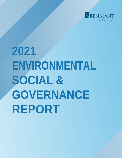

# **2021 ENVIRONMENTAL SOCIAL & GOVERNANCE REPORT**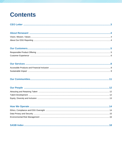# <span id="page-1-0"></span>**Contents**

|--|--|--|

|--|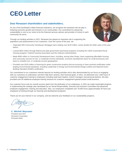# **CEO Letter**

# **Dear Renasant shareholders and stakeholders,**

As one of the Southeast's oldest financial institutions, we recognize the important role we play in fostering economic growth and inclusion in our communities. Our commitment to advancing sustainability is core to our vision to be the financial services advisor and provider of choice in each community we serve.

Through our lending activities in 2021, Renasant has played an important role in supporting the aspirations and advancement of our customers. Over the course of the year, we:

- Originated 655 Community Homebuyer Mortgage loans totaling over \$120 million, nearly double the dollar value of the year before.
- Loaned \$810 million through federal and state government-sponsored programs including the USDA Guaranteed Rural Housing program, Federal Housing Association and the Veterans Administration.
- Made \$460 million in Community Development loans, including, among other things, loans supporting affordable housing and community services for low- or moderate-income individuals, economic development loans for small businesses and loans to revitalize low- or moderate-income geographies.
- Provided over \$103 million in financing for green construction projects that are pursuing or have received certification under leading environmental standards, including Leadership in Energy and Environmental Design (LEED) and National Green Building Standard (NGBS) certification.

Our commitment to our customers extends beyond our lending activities and is also demonstrated by our focus on engaging with our customers to understand, and then help them achieve, their financial goals. In 2021, we delivered over 1,000 hours of customer engagement training to employees including retail team leaders, branch managers and personal bankers. We also provided over 80 additional employee training sessions for customer engagement geared toward small business.

Our customer focus and our overall success starts from the dedication of our employees. In 2021 we made meaningful progress in implementing the strategic plan developed by our Social Responsibility, Diversity and Inclusion Committee that advanced employee engagement, training and education. Also, our employees completed over 78,000 hours (approximately 30 hours per employee) of training through our learning and development programs.

Thank you for your interest in our company, and we welcome your feedback on our sustainability progress.

**C. Mitchell Waycaster** President and CEO Renasant Corporation Renasant Bank

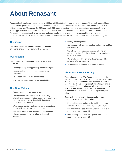# **About Renasant**

Renasant Bank has humble roots, starting in 1904 as a \$100,000 bank in what was a Lee County, Mississippi, bakery. Since then, we have grown to become a trusted financial partner in communities across the Southeast, with approximately \$16.8 billion in assets as of December 31, 2021 and nearly 200 banking, lending, wealth management and insurance offices in Mississippi, Alabama, Tennessee, Georgia, Florida, North Carolina and South Carolina. Renasant's success stems in large part from the commitment of each of our bankers and other employees to investing in their communities as a way of better understanding the people we serve. At Renasant Bank, we understand our customers because we work and live alongside them.

# **Our Vision**

Our vision is to be the financial services advisor and provider of choice in each community we serve.

# **Our Mission**

Our mission is to provide quality financial services and advice by:

- Creating security and opportunity for our employees
- Understanding, then meeting the needs of our customers
- Being good citizens in our communities
- Providing attractive returns to our shareholders

# **Our Core Values**

- Our employees are our greatest asset
- Our customers' trust is foremost. We will always attempt to understand what our customers need before offering a solution. We will deal with them fairly, honestly and confidentially
- We are dependent on and responsible to each other, and we will at all times work together as a team
- We will always nurture a professional environment wherein respect for the individual is of utmost importance
- Quality is not negotiable
- Our company will be a challenging, enthusiastic and fun place to work
- We will have leaders in our company who not only possess a vision of our future but who also can inspire others to achieve it
- Our employees, directors and shareholders will be advocates for our company
- Two-way communication at all levels is essential

# **About Our ESG Reporting**

The disclosures in this ESG Report are informed by the standards of the Sustainability Accounting Standards Board (SASB) for commercial banks. The members of SASB are appointed by The Value Reporting Foundation, which is a global non-profit organization that offers a comprehensive suite of resources designed to help businesses and investors develop a shared understanding of enterprise value.

Specifically, this report provides information on the following SASB sustainability disclosure topics:

- Financial Inclusion and Capacity Building see Our Services section of the report beginning on page 8
- Business Ethics see How We Operate section of the report beginning on page 14
- Data Security see How We Operate section of the report beginning on page 14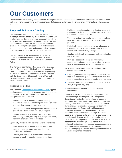# **Our Customers**

We are committed to treating prospective and existing customers in a manner that is equitable, transparent, fair and consistent with consumer protection laws and regulations and that respects and protects the privacy of their financial and other personal information.

# **Responsible Product Offering**

Our customers' trust is foremost. We are committed to the fair design and sale of banking products and solutions. Our products and services are reviewed for compliance with all applicable laws and regulations, including fair lending and anti-discrimination laws. We strive to provide accurate, clear and meaningful information so that customers are informed about their options and empowered to select the financial products and solutions that meet their needs.

Our commitment to fair and responsible banking is confirmed in our company-wide Responsible Sales Practices Policy and our New Products and Services Policy.

The Renasant Board of Directors has ultimate oversight over our fair and responsible banking commitments. Our Chief Compliance Officer has management responsibility for relevant programs and adherence to related policies, with day-to-day support from our Director of Fair and Responsible Banking and our Fair Banking Compliance Analyst, among others.

# **Responsible Selling**

The Renasant [Responsible](https://investors.renasant.com/static-files/30af0382-cdab-403d-92df-868d0695e2d4) Sales Practices Policy applies to all employees and third party service providers, and to all of the Bank's activities. The policy provides guiding principles that help ensure we:

- Minimize the risk of potential customer harm by requiring all employees and third party service providers to engage in responsible sales practices;
- Develop and maintain appropriate risk-based controls to prevent, detect and correct such practices; and
- Comply with applicable federal consumer protection laws and regulations, including laws that prohibit unfair, deceptive or abusive acts or practices.

Specifically, it is the Bank's policy to, among other things:

- Make financial products and services available to existing or potential customers based on their qualifications and needs;
- Require, and obtain, a customer's fully-informed consent to enroll in financial products or services;
- Prohibit the use of deceptive or misleading statements to encourage existing or potential customers to consent to a financial product or service;
- Train new and existing employees on their ethical and legal obligations in relation to responsible sales practices;
- Periodically monitor and test employee adherence to the policy and take appropriate corrective action, if needed, in response to any findings;
- Conduct periodic risk assessments and audits of sales practices; and
- Develop processes for compiling and evaluating appropriate risk inputs in order to holistically evaluate legal or regulatory risk related to sales practices.

We achieve these commitments in a number of ways, including but not limited to:

- Informing customers about products and services that meet their needs and giving them the information they need to evaluate and use these solutions appropriately;
- Sharing product communications and disclosures in a clear, transparent way; and
- Offering financial education to customers and communities.

The Board of Directors oversees our responsible sales practices through its Enterprise Risk Management Committee, which tracks metrics related to consumer complaints (encompassing complaints regarding account opening, sales practices, identity theft and fraud claims). Our Compliance Committee, a management committee whose activities the Enterprise Risk Management Committee oversees, monitors not only consumer complaints themselves but also the steps we take to respond to complaints and to prevent the recurrence of the behaviors/activities that resulted in a complaint being made. Also, the Compensation Committee of the Board is responsible for overseeing management's efforts to implement, and refine when necessary, our processes and controls designed to assess whether incentive compensation programs create a misalignment of incentive goals and compliance obligations.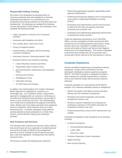# **Responsible Selling Training**

We invest in our employees by educating them on consumer protection laws and regulations so that they understand and adhere to our commitment to our prospective and existing customers to treat them fairly and transparently. All employees are assigned the following courses that pertain to retail integrity, and employees must complete this training annually:

- Unfair, Deceptive or Abusive Acts or Practices (UDAAP)
- Americans with Disabilities Act (ADA)
- Fair Lending: Basic Topics and Terms
- Privacy Compliance Basics
- Understanding, Leveraging, and Documenting Customer Complaints
- Information Security: Preventing Identity Theft
- Renasant Policies and Guidelines including:
	- Code of Business Conduct and Ethics
	- Responsible Sales Practices Policy
	- Anti-Discrimination, Harassment, and Retaliation Policy
	- $-$  Diversity and Inclusion
	- Whistleblower Policy
	- Information Security
	- ID Theft Policy and Program

In addition, the Understanding You® model is Renasant Bank's approach to engaging our customers in a meaningful way. It is a customer-centric, needs-based approach to engaging with our customers, reinforcing our commitment to being the financial advisor and provider of choice in each community we serve. The Understanding You® model and its components are aligned to the Bank's Vision, Mission and Core Values and teach how employees meet our customers' needs wherever they are in their financial journey. Currently, employees responsible for opening deposit accounts participate in an initial 3-day session; annual refresher training and coaching is provided.

### **New Products and Services**

The Renasant New Products and Services Policy confirms that we will review all new, expanded or modified products and services through an effective risk management process to ensure compliance with all federal and state laws, rules and regulations, including those that relate to consumer harm.

This process contains the following basic elements:

- Determining appropriate regulatory applicability and/or approval requirements;
- Performing thorough due diligence prior to introducing a new product or expanding/modifying an existing product;
- Developing and implementing controls and processes to determine that risks are properly measured, monitored and controlled; and
- Developing and implementing appropriate performance monitoring and review systems.

Under the leadership and direction of our Chief Risk Officer, we have completed a Product and Service Risk Assessment on all existing products and services. Going forward, each new, expanded or modified product or service will receive a Product and Service Due Diligence Review prior to its implementation. This review is designed to document and consider the risk of consumer harm, among other factors relevant to the new product or service.

# **Customer Experience**

We are committed to delivering an exceptional customer experience. As part of this commitment, we have developed a dedicated customer experience program: RNSTX. The RNSTX program is designed to provide a clear roadmap for continual improvement in customer service and customer loyalty and to promote customer advocacy.

Customer evaluation is a core element of the RNSTX program. Our customer evaluation process is designed to:

- Monitor the quality of the Bank's service and sales delivery from the customer's perspective;
- Recognize and reward employees who provide exceptional customer care;
- Enhance customer satisfaction by increasing our employees' awareness of the habits necessary for exceptional customer care; and
- Respond proactively to areas where improvements are needed.

Channels for evaluation cover all aspects of our business, including:

- In-Branch Evaluations
	- Personal Bankers/Managers
	- Lobby Teller
	- Drive-Thru Teller
- Customer Experience Center Evaluations
- Digital Channels
- New Account Opening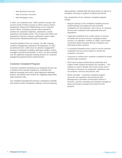- New Business Accounts
- New Consumer Accounts
- New Mortgage Loans

In 2021, we conducted over 7,600 customer surveys. We use the results of these surveys to inform various metrics designed to measure the effectiveness of our customer service efforts, including customer effort required to achieve the customer's objective, satisfaction, overall experience and loyalty scores. The surveys and metrics are designed to improve customer satisfaction trends, rather than provide individual performance snapshots.

Using the guidance from our surveys, we offer ongoing customer engagement training for all employees. In 2021, we delivered over 1,000 hours of customer engagement training to employees including retail team leaders, branch managers and personal bankers. In 2021, we also provided over 80 additional employee training sessions for customer engagement geared toward small business.

### **Customer Complaint Program**

Customer complaint monitoring is an important tool we use to enhance the customer experience, to identify and address emerging risks and to help implement adequate policies, procedures and controls for mitigating responsible sales practices risks.

Our complaint management process is designed to identify and closely monitor complaints relating to account opening, sales practices, identity theft and fraud claims as well as to recognize recurring or systemic incidents and trends.

Key components of our customer complaint program include:

- Regular training on the complaints handling process (understanding, leveraging and documenting complaints) for all employees, with a focus on customer service and compliance with applicable laws and regulations;
- Capturing complaints from a wide variety of sources, including new account surveys, mortgage product surveys, our website's "contact us" page, social media monitoring, Better Business Bureau complaints and third party product vendors;
- A centralized database that is used to record customer complaints and any actions taken to resolve the customer's concerns;
- A process to review every customer complaint for timely and thorough resolution;
- Root cause analysis performed by leadership and subject-matter experts throughout the company – This analysis is used to identify and correct issues and to find ways to enhance our customers' experience and our products, services and policies; and
- Board oversight Customer complaint program outcomes are reported to the Enterprise Risk Management Committee of Renasant's Board of Directors, and this committee has ultimate oversight of policy and product changes that result from the program.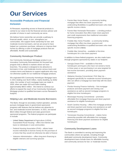# **Our Services**

# **Accessible Products and Financial Inclusion**

At Renasant, expanding access to financial products is central to our vision to be the financial services advisor and provider of choice in each community we serve.

We believe home ownership can provide a pathway to financial wealth, which, in turn, strengthens our communities. We support home ownership for low- and moderate-income borrowers, and we are proud to have helped our customers purchase, refinance or improve their homes by offering a suite of mortgage products that are affordable, flexible and sustainable.

# **Community Homebuyer Product**

Our Community Homebuyer Mortgage product is an innovative Community Reinvestment Act focused loan program that is offered in markets where we have branches. The product is designed to be attractive to borrowers in low- and moderate-income census tracts and contains terms and features to support applicants who may not otherwise qualify for our traditional mortgage products.

We originated 655 Community Homebuyer Mortgage loans in 2021 totaling over \$120 million, nearly doubling, by dollar value, the number of such mortgage loans we made in 2020, when we made 418 such loans totaling approximately \$68.5 million. We intend to continue our efforts to expand the reach of our Community Homebuyer Mortgage product to qualified borrowers across Renasant's footprint.

# **Helping Low- and Moderate-Income Borrowers**

The Bank, through its secondary market operation, actively pursues mortgage loans in government-sponsored programs with features that we believe are attractive to low- and moderate-income borrowers. In 2021, we loaned \$810 million through federal and state governmentsponsored programs. The federal programs we participate in include:

- United States Department of Agriculture (USDA) Guaranteed Rural Housing – offers low interest rate loans to individuals in rural communities
- Federal Housing Association (FHA) allows lower income individuals to borrow money for the purchase of a home that they would not otherwise be able to finance
- Veterans Administration offers long-term financing to eligible veterans and surviving spouses
- Fannie Mae Home Ready a community lending mortgage that offers low down payment and underwriting flexibilities to qualified borrowers who meet specific income criteria
- Fannie Mae Homestyle Renovation a lending product for home renovation that offers lower down payment and credit requirements than traditional renovation financing programs
- Freddie Mac Home Possible a community lending mortgage that offers low down payment and underwriting flexibilities to qualified borrowers who meet specific income criteria
- Freddie Mac HomeOne available to first-time homebuyers for a low down payment

In addition to these federal programs, we also made loans through programs sponsored by states in our footprint:

- Georgia Dream FHA available to first-time homebuyers and buyers who have not owned a home in three years or are purchasing in an area targeted for low-income borrowers, providing down payment assistance
- Alabama Housing Conventional, FHA Step Up designed specifically for moderate-income homebuyers who can afford a mortgage but need help with the down payment
- Florida Housing Finance Authority first mortgage products and down payment and closing cost assistance as well as second mortgage programs to eligible first-time homebuyers
- Mississippi Housing Conventional promotes affordable first mortgage financing and down payment assistance for eligible homebuyers
- South Carolina Housing offers first mortgage products and down payment and closing cost assistance as well as second mortgage programs to eligible first time homebuyers
- Tennessee Housing Conventional makes home ownership possible with affordable first mortgage financing and down payment assistance for eligible homebuyers

### **Community Development Loans**

The Bank is committed to serving and improving the communities where we operate, including through dedicated community development loans. Community development loans include loans for affordable housing and community services for low- or moderate-income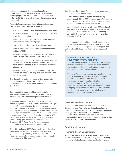individuals, economic development loans for small businesses, and loans to revitalize low- or moderateincome geographies. In 2020 and 2021, we made \$470 million and \$460 million in Community Development loans, respectively.

Proceeds from our community development loans were used, among other initiatives, to finance:

- apartment buildings in low- and moderate-income areas
- a development company that specializes in construction of low-income housing
- a non-profit primary care facility that serves homeless, uninsured and underserved people
- assisted living facilities in moderate income areas
- a line of credit for a Community Development Financial Institution (CDFI)
- a loan to a non-profit organization providing services to victims of domestic violence and their families
- a line of credit to a nonprofit charitable organization that provides displaced and homeless veterans with the social services needed to totally reintegrate them back into society
- a loan to a housing authority that works closely with local governments to develop long-term housing plans for the community

The Bank also invests in the communities we serve by purchasing municipal bonds, tax credits and mortgagebacked securities. In 2021, these purchases totaled almost \$93 million.

#### **Community Development Financial Institution Partnership – Renasant a "go to partner" for the Atlanta Neighborhood Development Partnership**

A chartered member of the NeighborWorks Network, Atlanta Neighborhood Development Partnership (ANDP) is a nonprofit organization that develops, finances and advocates for affordable housing at a scale that promotes racial equity and healthy communities where families thrive. Financing is provided through the ANDP Loan Fund, which is a Community Development Financial Institution. ANDP is recognized as a leader within the industry as a best-inclass CDFI by governmental entities such as the U.S. Treasury's CDFI Rapid Relief Fund and business periodicals like the Atlanta Business Chronicle.

John O'Callaghan, ANDP's Executive Director, describes Renasant Bank as "our go to partner when we have a government entity providing Home or other Subsidy … or have a Governmental or Impact Investor that is willing to take a second or third position."

Over the past three years, Renasant has provided capital to this CDFI in the following ways:

- A first loan was done using two facilities totaling approximately \$1,850,000 for the purpose of purchasing 13 duplexes that provide affordable housing to low-tomoderate income individuals and families.
- A second facility is a non-revolving \$5,000,000 line of credit to ANDP to acquire 50-60 single family homes throughout Metro Atlanta as part of its Preparing Affordable Options for Tenancy to Homeownership Program (PATH).

In both instances the capital is completely deployed and each facility is performing well. We continue to work with ANDP to determine other ways that we can support their work in affordable housing in Atlanta and across north Georgia.

### **COMMUNITY REINVESTMENT ACT – FOUNDATIONCAPITAL REFERRALS**

The Community Reinvestment Act (CRA) encourages financial institutions to help meet the credit needs of communities in which they do business, including lowand moderate-income neighborhoods.

Thanks to Renasant's reputation as a good community and CRA partner, in 2021 we received a number of referrals to small businesses based in our local communities through FoundationCapital. FoundationCapital is a Birmingham, Alabama-based Small Business Administration Certified Development Company that partners with local financial institutions and the federal government to provide financial services for small business borrowers.

### **COVID-19 Pandemic Support**

In 2021, the Bank processed more than \$778 million in Economic Impact Payments, facilitating the delivery of government stimulus payments to our customers during the ongoing COVID-19 pandemic. As we did in 2020, our bankers worked with many customers to provide accommodative repayment terms for those impacted by the economic strain caused by the pandemic.

# **Sustainable Impact**

#### **Financing Green Construction**

A significant portion of the new construction projects we currently finance incorporate, to varying degrees, leading environmental standards, including Leadership in Energy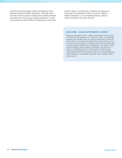and Environmental Design (LEED) and National Green Building Standard (NGBS) certification. Although many borrowers whose projects include green building elements ultimately elect not to pursue official certification, in 2021 we provided over \$103 million in financing for construction

projects where, if construction is ongoing, the sponsor of the project has indicated its intent to pursue a LEED or NGBS certification or, for completed projects, LEED or NGBS certification has been received.

#### **ZOM LIVING – AZALEA APARTMENTS, FLORIDA**

Renasant provided a \$36.7 million construction loan to ZOM Living for the development of a 289-unit, Class A multifamily property that will be known as Azalea Apartments. ZOM will work with its consultants throughout the construction process to ensure that the project is tracking toward the intended goal of achieving the NGBS Silver certification. The NGBS is the nation's leading green building certification program and requires certified projects to incorporate environmentally responsible features with regard to the site, energy efficiency, water efficiency, sustainable materials and a healthy indoor environment.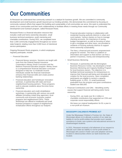# **Our Communities**

At Renasant we understand that community outreach is a catalyst for business growth. We are committed to community development and small business growth beyond just our lending activities. We demonstrate this commitment by focusing on community outreach efforts that support the building and sustainability of all communities we serve. We seek to understand the needs of our communities and then work collaboratively to facilitate efforts in meeting those needs through our Community Development and Outreach program, called Renasant Roots.

Renasant Roots is a financial education resource that includes credit and home ownership education, small business technical assistance, youth mentoring and charitable contributions. During 2021, we completed more than 1,600 community engagements throughout our sevenstate footprint, totaling more than 5,000 hours of intentional service participation.

Ongoing Renasant Roots programs, in which employees regularly participate, include:

- Financial Education
	- Financial literacy sessions. Sessions are taught with tools from the Federal Deposit Insurance Corporation's Money Smart Curriculum and the Balance Financial Education program. Money Smart is a comprehensive financial education curriculum designed to help low- to moderate-income individuals outside the financial mainstream enhance their financial skills and create positive banking relationships.
	- Financial education and homebuyer renovation seminars, in partnership with state and local neighborhood housing partners. These programs work to educate residents about first-time home ownership.
	- Financial education and credit rehabilitation workshops, in partnership with various non-profit affiliates (including United Way agencies), local community and economic business support programs and neighborhood CDFIs. These Workshops are offered to residential and small business prospects in support of neighborhood revitalization efforts throughout our footprint.
- $-$  Financial education training in collaboration with residential housing authority districts in urban and rural markets. Various classes on how to manage checking accounts, the importance of saving, budget management, as well as focusing on when to get a mortgage and other loans, are provided to residents of housing authority districts to support home ownership sustainability.
- The Nest, a financial and economic empowerment program for women. The Nest is a platform of information and support so that women can find a partner in business, money and entrepreneurship.
- Small Business Mentoring
	- Renasant, in partnership with the Birmingham Business Resource Center, has developed a Small Business Mentoring and Capacity Building Program for local business owners. The objective is to facilitate technical assistance for entrepreneurs to improve their financial well-being and stimulate job creation for the local economy. Upon completion, participants are eligible to receive a capacity building grant. In 2021, 21 small businesses graduated from the program and grant contributions totaled over \$50,000.
- Financial Contributions and Gifts Benefiting worthy causes that support financial well-being and/or home ownership.
	- $\sim$  10  $\pm$ During 2021, we made over \$1.4 million in charitable contributions that supported our CRA and corporate social responsibility efforts.
	- We lease our original headquarters for \$1 a year to a non-profit art museum.

#### **MISSISSIPPI CHILDREN'S PROMISE ACT**

Under the Mississippi Children's Promise Act, the State of Mississippi allows us to allocate a portion of our state tax liability to not-for-profit entities that provide much needed assistance to foster care systems and educational services to disadvantaged students.

In 2021, Renasant received a full allotment of our request to allocate such state tax liability to not-for-profit entities in Mississippi who assist in foster care and adoption services, located in cities/counties where our bank branches are located.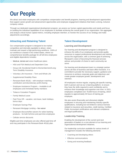# **Our People**

We attract and retain employees with competitive compensation and benefit programs, learning and development opportunities that support career growth and advancement opportunities and employee engagement initiatives that foster a strong, inclusive company culture.

Through our dedicated organizational development program, we assess our human capital opportunities and needs and focus on building the individual capabilities of our employees to facilitate achieving the overall goals of our organization. We aggregate and analyze critical human capital metrics, including employee retention, to monitor the success of our strategy and make adjustments accordingly.

# **Attracting and Retaining Talent**

Our compensation program is designed to be marketcompetitive and internally equitable to attract, retain, motivate and reward a high-performing workforce. 100% of our workforce is based in the United States, where our comprehensive benefits package for all full-time employees and eligible dependents includes:

- Medical, dental and vision healthcare plans
- HSA and FSA Medical and Dependent Care
- Group Life /Accidental Death & Dismemberment/Long-Term Disability Insurance
- Voluntary Life Insurance Term and Whole Life
- Supplemental Disability Plans
- Renasant Bank  $401(k)$  with employer matching contribution and discretionary profit-sharing
- Employee Assistance Program Available to all employees and immediate family members
- Tobacco Cessation Program
- Family Medical Leave
- Paid Time Off vacation, sick leave, bank holidays, bonus days
- Employee Savings Plan
- Renasant Mortgage Lending fee waiver
- Employee discounts/fee waivers for select banking products – for both full-time and part-time employees
- Cellular service discounts

Eligible part-time employees are also offered paid time off and may participate in the Renasant Bank 401(k) plan.

# **Talent Development**

### **Learning and Development**

Our learning and development program is designed to enhance the skills of our employees and provide quality resources to support professional development and training across the organization, with a common goal of achieving Renasant's vision of becoming the financial services advisor and provider of choice in each community we serve.

Our learning and development team is a strategic partner across all lines of business and back-office functions. It is committed to provide the necessary support, guidance and resources to achieve corporate goals and objectives and create greater employee growth, development and retention.

All employees receive regular, ongoing job-specific training, both in-person and via our e-learning platform, to ensure they have the skills required to work confidently and to enhance their knowledge and expertise over time. In 2021, employees completed over 78,000 hours of training, which equates to approximately 30 hours of training per employee.

We also assist (financially and otherwise) eligible employees in securing and maintaining industry-specific qualifications, including but not limited to various licenses related to insurance and securities, credit training, Certified Public Accountant certifications and relevant compliance and legal qualifications.

### **Leadership Training**

Enabling the development of the current and next generation of leaders is a core element of our learning and organizational development initiatives.

Our leadership curriculum available for various levels of management includes the following elements:

- Coaching and developing others
- Effective communications
- Giving and receiving feedback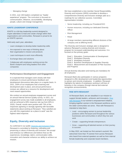• Managing change

In 2021, over 160 leaders completed our "leader experience" program. The curriculum is focused on communication, influence, accountability, developing people, culture and change management.

#### **IGNITE LEADERSHIP CONFERENCE**

IGNITE is a full-day leadership summit designed to inspire attendees to lead and create change within their organizations and communities. Renasant is proud to be an IGNITE sponsor.

Held early each year, attendees:

- Learn strategies to develop better leadership skills
- Are exposed to new ways of thinking about their organization's mission and products
- Learn techniques to work more efficiently
- Exchange ideas and solutions
- Collaborate with employees working across the Bank's footprint and rising leaders from other companies

### **Performance Development and Engagement**

It is expected that managers work closely with their employees to ensure performance feedback and development discussions take place on a regular basis. In 2021, 100% of our employees had a learning and development plan in place, and annual performance reviews are utilized as a resource for development and merit reward opportunities.

We conduct an annual employee engagement survey and an annual Internal Service Quality survey. In 2021, our engagement survey was made available to all employees, and we achieved a 69% response rate (up from 60% in 2020). Overall, results were positive with 73% of the responses agreeing or strongly agreeing with favorable statements about working at Renasant. "How satisfied are you with this organization as a place to work" was the highest rated response.

# **Equity, Diversity and Inclusion**

As confirmed in our public **Diversity and [Inclusion](https://www.renasantbank.com/resources/corporate-policy-information) Policy**, Renasant is committed to fostering, cultivating and preserving a culture of diversity and inclusion. We accept and embrace our differences and believe that our life experiences, knowledge, talent, communication skills, innovation and character enhance our ability to achieve our mission.

We have established a nine-member Social Responsibility, Diversity and Inclusion (SRDI) committee to develop a comprehensive Diversity and Inclusion strategic plan as a roadmap for our collective success. Committee representation includes:

- Senior leadership, including our President/CEO
- Human resources, including our dedicated Diversity **Officer**
- Risk Management
- Retail
- At-large members representing different divisions of the company and at differing levels.

The Diversity and Inclusion strategic plan is designed to advance Renasant's existing diversity and inclusion program for increased understanding and outcomes. It is focused on five primary goals:

- Goal 1: Education, Communication & Development
- Goal 2: Workplace Diversity
- Goal 3: Workplace Inclusion
- Goal 4: Business Development & Supplier Diversity
- Goal 5: Measurement and Evaluation of Plan Success and Progress

Annual diversity education and training are mandatory for all employees.

Renasant Bank also participates in various programs designed to offer development and leadership opportunities to women and minority employees. In addition, Renasant highlights the talents of employees working in all lines of business in the company through internal and external recognition announcements.

### **RISE WITH RENASANT**

At Renasant Bank, we are steadfast in our mission to support female leaders, achievers and innovators. Rise [with Renasant](https://renasantnation.com/rise?_ga=2.112565444.1116397648.1649172644-1727377273.1649172644) is our women's empowerment initiative, bringing together women in the Renasant workforce and in the wider communities we serve. Rise with Renasant is intended to help them:

- Lead encouraging women to pursue leadership positions within Renasant and throughout the various businesses and communities in which they live and work
- Create supporting female entrepreneurs
- Grow supporting all talented women on their journey to success

In May 2022, we hosted our first women's summit. We welcomed more than 75 women from across Renasant who heard from external speakers as well as from internal female leadership and corporate board members.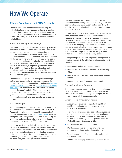# **How We Operate**

# **Ethics, Compliance and ESG Oversight**

We have a steadfast commitment to maintaining the highest standards of business and professional conduct and compliance. A consistent effort to uphold strong values and to make the right choices in how we conduct business is critical to earning the trust of our customers and other stakeholders.

# **Board and Managerial Oversight**

Our Board of Directors and executive leadership team are committed to ethical business practices. Our Board stays abreast of corporate governance best practices and changing regulatory requirements, solicits and carefully considers feedback from stakeholders, and makes changes it believes are in the long-term best interest of Renasant and the creation of long-term value for our shareholders and other stakeholders. The Board conducts an annual review of the company's corporate governance practices. The Audit Committee monitors our internal controls, compliance and ethics, and the Enterprise Risk Management Committee monitors our enterprise-wide risk management program.

We maintain good governance and operations through written policies and auditing programs throughout the company. Relevant documentation, including our [Corporate](https://investors.renasant.com/static-files/599510c4-acc0-439d-8da5-5cb57d35ec70) [Governance](https://investors.renasant.com/static-files/599510c4-acc0-439d-8da5-5cb57d35ec70) Guidelines and our Code of [Business](https://investors.renasant.com/static-files/84b7b7ae-934e-4a9b-9e50-29764b4f61d9) Conduct and [Ethics,](https://investors.renasant.com/static-files/84b7b7ae-934e-4a9b-9e50-29764b4f61d9) can be found on the Corporate Governance page of Renasant's website. These and other written policies, procedures and controls set the standards that guide our efforts to achieve the highest levels of responsibility, integrity and legal compliance across our business.

# **ESG Oversight**

The Nominating and Corporate Governance Committee of the Board has specific responsibility for the oversight of Renasant's policies and practices with respect to ESG matters, as confirmed in the [committee's](https://investors.renasant.com/static-files/f7e84e22-c2f2-4ce5-b13e-71906a1e54cb) charter, while the Enterprise Risk Management Committee is developing our processes and procedures relating to the identification, monitoring and mitigation of ESG-related risks.

In addition, the Board periodically reviews the company's responsible product and services policies and practices, community investment initiatives, data privacy and security and human capital strategies, among its other oversight activities. Furthermore, the Board is responsible for overall risk oversight of the company, which includes certain environmental, social and governance matters.

The Board also has responsibility for the consistent evaluation of the Diversity and Inclusion strategic plan and receives a biannual (twice a year) update from the SRDI committee regarding plan implementation, successes and engagement status.

Our executive leadership team, subject to oversight by our Board, structures, monitors and adjusts responsible product and services policies and practices, community investment initiatives, data privacy and security and human capital efforts in a manner intended to best serve the interests of the company and all of its stakeholders. Each year, our executive leadership team reviews our long-range strategic plans. These plans consider, as appropriate, longterm sustainability implications and the ability to meet customer needs related to sustainability issues.

At an operating level, the following senior managers have ultimate responsibility for critical areas of our sustainability initiatives:

- Governance and Ethics: General Counsel
- Responsible Products and Services: Chief Operating **Officer**
- Data Privacy and Security: Chief Information Security **Officer**
- Human Capital: Chief Human Resources Officer

### **Ethics Compliance Program**

Our ethics compliance program is designed to implement the requirements of our Code of Business Conduct and Ethics, as well as identify, manage and mitigate the risk of non-compliance with those requirements.

Key components of the program include:

- A governance structure designed with input from qualified consultants and legal advisors and overseen by executive leadership;
- Training and awareness activities all employees are required to undertake mandatory annual training on ethical standards, which includes an obligation to review and acknowledge their obligations under the Code of Business Conduct and Ethics;
- Monitoring and testing for compliance;
- Monitoring and testing of officer and employee transactions for fraud and conflicts of interest;
- Periodic assessment of corruption risks and control effectiveness; and
- Protocols for managing and reporting material issues.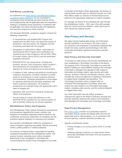# **Anti-Money Laundering**

As confirmed in our [Bank Secrecy Act \(BSA\)/Anti-Money-](https://investors.renasant.com/static-files/a7a5479c-223e-4a54-946e-faf38e2c980c)[Laundering \(AML\) Statement,](https://investors.renasant.com/static-files/a7a5479c-223e-4a54-946e-faf38e2c980c) we are committed to combating money laundering and other financial crimes and complying fully with all applicable laws and regulations relating to combating money laundering. Compliance with all applicable anti-money laundering laws and regulations and sanctions programs is strictly required.

The Renasant BSA/AML compliance program contains the following components:

- A comprehensive and detailed BSA Program that supplements the BSA Policy and details the system of procedures, internal controls, risk mitigation and risk monitoring associated with the program.
- Designation of a BSA/OFAC Officer, responsible for overseeing the BSA Program and coordinating and monitoring day-to-day compliance with the BSA, Office of Foreign Assets Control (OFAC) and the associated regulatory framework.
- BSA/AML/OFAC risk assessments, covering new products, services, lines of business, and/or locations – risk assessments are presented to the Board of Directors for review and approval on an annual basis.
- In addition to AML software that performs monitoring for suspicious transactions, the Bank maintains an online portal for all employees to report suspicious behavior and transactions. Employee participation is encouraged by randomly selecting and rewarding employees who submit suspicious transactions. All suspicious transactions are reviewed timely with appropriate action taken to mitigate risk.
- Mandatory AML and OFAC training for all directors, officers and employees.
- Annual review of controls and adherence to the BSA/AML/OFAC guidelines by our internal auditors as well as periodic reviews by our primary regulators.

### **Whistleblower Policy and Programs**

Our Whistleblower Policy outlines Renasant's commitments and procedures regarding the receipt, retention and treatment of complaints regarding unethical behavior, the confidential, anonymous submission of complaints and the protection against retaliation for reporting such activities.

We maintain a whistleblower hotline for employees to report complaints regarding accounting, internal accounting control, auditing matters or unethical behavior.

Our Director of Internal Audit is responsible for handling complaints forwarded from the whistleblower hotline. The process involves reviewing every hotline complaint, determining if any investigation is warranted and communicating the results of any investigation to the Audit Committee of the Board. When appropriate, the Director of Internal Audit consults with our General Counsel, our Chief Risk Officer and/or our Director of Human Resources to determine the appropriate response to a hotline complaint.

On average, we receive 8-10 complaints per year through the whistleblower hotline – 2021 was in line with average. Most are human resources-related in nature (and none in 2021 raised any material issues).

# **Data Privacy and Security**

We apply industry-leading data privacy and information security standards in our business. We have a duty to our customers and employees to proactively safeguard and handle their data, systems and technology in line with continually-developing regulatory frameworks and best practices.

### **Data Privacy and Security Oversight**

To oversee our data privacy and security commitments, we have established a Technology Committee of the Board. The purpose of the Technology Committee is to assist the Board in fulfilling its responsibilities relating to the oversight of the Bank's strategies and operations with respect to information technology matters, data security and cyber security, business continuity and disaster recovery, which includes the review and approval of significant investments to support these strategies and operations. The Technology Committee works in tandem with our Enterprise Risk Management Committee, which also reviews the risks related to our information technology matters, including cyber security, and the controls designed to mitigate these risks.

Our Chief Information Security Officer provides a cybersecurity report to the Board of Directors annually and provides quarterly cybersecurity reports to the Enterprise Risk Management Committee and Technology Committee.

### **Data Privacy Management**

Our [privacy](https://www.renasantbank.com/resources/privacy-policy) policy commits us to protecting customer information that we receive and details when and how we obtain data and for what purposes, i.e., in connection with account opening, customer otherwise provides, etc.

Specific commitments include:

- Posting changes to our privacy policy online in a timely manner
- Notifying impacted customers of a data breach where personally identifiable information (PII) was exposed in a timely manner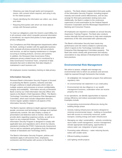- Obtaining user data through lawful and transparent means, with consent where required, and using it only for the stated purpose
- Clearly identifying the information we collect, use, share and retain
- Requiring third parties with whom we share data to comply with Renasant policies

To meet our obligations under the Gramm-Leach-Bliley Act, in all contracts under which nonpublic personal information is transferred, we require third parties to have appropriate privacy safeguards.

Our Compliance and Risk Management departments within the Bank, working in tandem with the applicable business units, evaluate all privacy protocols for all new products and services, as well as ongoing maintenance or changes occurring to existing products, services and systems. In addition, the Renasant Data Governance Policy addresses privacy-related issues and is monitored by a Data Governance Functional Team, comprised of data stewards that work to determine that data integrity is maintained in each business unit.

All employees receive mandatory training on data privacy.

### **Information Security**

Renasant Bank's Information Security Program is focused on protecting the Bank's systems, networks and data through a defense-in-depth philosophy which relies on multiple systems and processes to ensure confidentiality, integrity and availability. Information security at Renasant Bank is led by our Chief Information Security Officer who reports to the Bank's Chief Operations Officer. The Bank's Technology Committee and Enterprise Risk Management Committee, which each include independent directors, receive regular updates related to all aspects of the Information Security Program.

The Bank's layered, defense-in-depth approach leverages people, processes and technology to manage and maintain cybersecurity controls. We also employ a variety of preventative and detective tools to monitor, block and provide alerts regarding suspicious activity, as well as to report on any suspected threats. The Renasant Information Security Program is designed to comply with applicable laws and regulations and is driven by industry standards including the FFIEC Cybersecurity Assessment Tool as well as standards and guidance from the National Institute of Standards and Technology (NIST).

The Bank's Information Security Program, policies and standards apply to all business lines, employees, contractors and third parties with access to the Bank's

systems. The Bank obtains independent third party audits of the Information Security Program, including program maturity and overall control effectiveness, and we also arrange for third party penetration testing every year. Additionally, the Bank is subject to the continuous supervision of and examination by the Federal Deposit Insurance Corporation and the Mississippi Department of Banking and Consumer Finance.

All employees are required to complete an annual Security Awareness Training Program. The Bank also conducts routine internally focused exercises to help raise employee awareness of the risks associated with cybersecurity.

The Bank's Information Security team tracks key performance and risk metrics related to cybersecurity, which it reports to the Technology Committee and Enterprise Risk Management Committee quarterly. The Bank also works closely with government and industry associations to stay abreast of developments and share best practices.

# **Environmental Risk Management**

We strive to assess, mitigate and manage any environmental risks to which our products and services might be exposed through frameworks that include:

- An enterprise risk management program that addresses regulatory risks
- An environmental risk statement in our credit policy
- Environmental risk due diligence in our wealth management business, undertaken when we receive property into a trust

In our operations, we identify opportunities to improve energy efficiency and reduce associated emissions. Examples include:

- Incorporating environmental efficiencies during the building design phase
- Actively making infrastructure decisions designed to minimize environmental impact – building on brownfield land with access to community resources, public transport, existing energy and water infrastructure
- Managing our sites' sustainability actively considering storm water runoff management, erosion management, climate-appropriate landscaping, opportunities to reduce water use, integration of green space
- Promoting water efficiency water reducing faucets, toilets with smaller tanks
- Efficient building insulation
- LED lighting retrofit projects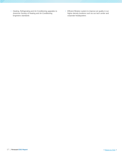- Heating, Refrigerating and Air-Conditioning upgrades to American Society of Heating and Air-Conditioning Engineers standards
- Efficient filtration system to improve air quality in our higher density locations such as our tech center and corporate headquarters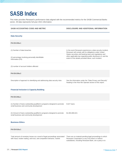# **SASB Index**

This index provides Renasant's performance data aligned with the recommended metrics for the SASB Commercial Banks sector. All data represents full-year 2021 information.

| <b>SASB ACCOUNTING CODE AND METRIC</b>                                                                                | DISCLOSURE AND ADDITIONAL INFORMATION                                                                                                                                          |
|-----------------------------------------------------------------------------------------------------------------------|--------------------------------------------------------------------------------------------------------------------------------------------------------------------------------|
| <b>Data Security</b>                                                                                                  |                                                                                                                                                                                |
| <b>FN-CB-230a.1</b>                                                                                                   |                                                                                                                                                                                |
| (1) Number of data breaches                                                                                           | In the event Renasant experiences a data security incident,<br>Renasant will comply with its obligations under United                                                          |
| (2) percentage involving personally identifiable<br>information (PII)                                                 | States securities and banking laws and regulations and<br>other applicable law regarding public disclosure of, and the<br>extent of the details provided about, such incident. |
| (3) number of account holders affected                                                                                |                                                                                                                                                                                |
| <b>FN-CB-230a.2</b>                                                                                                   |                                                                                                                                                                                |
| Description of approach to identifying and addressing data security risks                                             | See the information under the "Data Privacy and Security"<br>heading in the How We Operate section of this report.                                                             |
| <b>Financial Inclusion &amp; Capacity Building</b>                                                                    |                                                                                                                                                                                |
| <b>FN-CB-240a.1</b>                                                                                                   |                                                                                                                                                                                |
| (1) Number of loans outstanding qualified to programs designed to promote<br>small business and community development | 9,527 loans                                                                                                                                                                    |
| (2) Amount of loans outstanding qualified to programs designed to promote<br>small business and community development | \$1,904,860,621                                                                                                                                                                |
| <b>Business Ethics</b>                                                                                                |                                                                                                                                                                                |
| <b>FN-CB-510a.1</b>                                                                                                   |                                                                                                                                                                                |

Total amount of monetary losses as a result of legal proceedings associated with fraud, insider trading, anti-trust, anti-competitive behavior, market

There are no material pending legal proceedings to which Renasant Corporation or any of its direct or indirect subsidiaries, including Renasant Bank, are a party or to